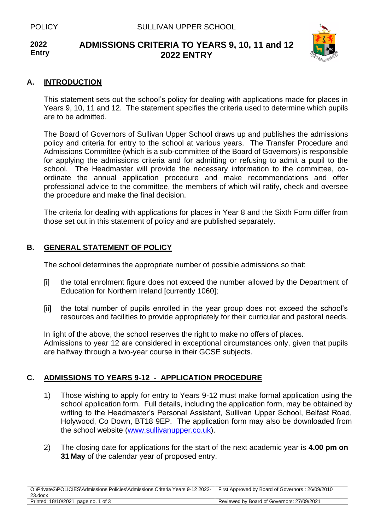#### **2022 Entry ADMISSIONS CRITERIA TO YEARS 9, 10, 11 and 12 2022 ENTRY**



### **A. INTRODUCTION**

This statement sets out the school's policy for dealing with applications made for places in Years 9, 10, 11 and 12. The statement specifies the criteria used to determine which pupils are to be admitted.

The Board of Governors of Sullivan Upper School draws up and publishes the admissions policy and criteria for entry to the school at various years. The Transfer Procedure and Admissions Committee (which is a sub-committee of the Board of Governors) is responsible for applying the admissions criteria and for admitting or refusing to admit a pupil to the school. The Headmaster will provide the necessary information to the committee, coordinate the annual application procedure and make recommendations and offer professional advice to the committee, the members of which will ratify, check and oversee the procedure and make the final decision.

The criteria for dealing with applications for places in Year 8 and the Sixth Form differ from those set out in this statement of policy and are published separately.

## **B. GENERAL STATEMENT OF POLICY**

The school determines the appropriate number of possible admissions so that:

- [i] the total enrolment figure does not exceed the number allowed by the Department of Education for Northern Ireland [currently 1060];
- [ii] the total number of pupils enrolled in the year group does not exceed the school's resources and facilities to provide appropriately for their curricular and pastoral needs.

In light of the above, the school reserves the right to make no offers of places. Admissions to year 12 are considered in exceptional circumstances only, given that pupils are halfway through a two-year course in their GCSE subjects.

## **C. ADMISSIONS TO YEARS 9-12 - APPLICATION PROCEDURE**

- 1) Those wishing to apply for entry to Years 9-12 must make formal application using the school application form. Full details, including the application form, may be obtained by writing to the Headmaster's Personal Assistant, Sullivan Upper School, Belfast Road, Holywood, Co Down, BT18 9EP. The application form may also be downloaded from the school website [\(www.sullivanupper.co.uk\)](http://www.sullivanupper.co.uk/).
- 2) The closing date for applications for the start of the next academic year is **4.00 pm on 31 May** of the calendar year of proposed entry.

| O:\Private2\POLICIES\Admissions Policies\Admissions Criteria Years 9-12 2022-<br>23.docx | First Approved by Board of Governors: 26/09/2010 |
|------------------------------------------------------------------------------------------|--------------------------------------------------|
| Printed: 18/10/2021 page no. 1 of 3                                                      | Reviewed by Board of Governors: 27/09/2021       |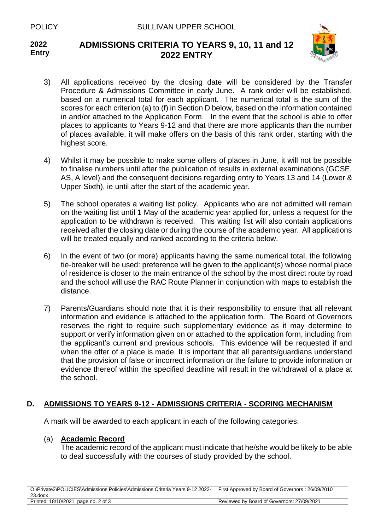

### **2022 Entry ADMISSIONS CRITERIA TO YEARS 9, 10, 11 and 12 2022 ENTRY**

- 3) All applications received by the closing date will be considered by the Transfer Procedure & Admissions Committee in early June. A rank order will be established, based on a numerical total for each applicant. The numerical total is the sum of the scores for each criterion (a) to (f) in Section D below, based on the information contained in and/or attached to the Application Form. In the event that the school is able to offer places to applicants to Years 9-12 and that there are more applicants than the number of places available, it will make offers on the basis of this rank order, starting with the highest score.
- 4) Whilst it may be possible to make some offers of places in June, it will not be possible to finalise numbers until after the publication of results in external examinations (GCSE, AS, A level) and the consequent decisions regarding entry to Years 13 and 14 (Lower & Upper Sixth), ie until after the start of the academic year.
- 5) The school operates a waiting list policy. Applicants who are not admitted will remain on the waiting list until 1 May of the academic year applied for, unless a request for the application to be withdrawn is received. This waiting list will also contain applications received after the closing date or during the course of the academic year. All applications will be treated equally and ranked according to the criteria below.
- 6) In the event of two (or more) applicants having the same numerical total, the following tie-breaker will be used: preference will be given to the applicant(s) whose normal place of residence is closer to the main entrance of the school by the most direct route by road and the school will use the RAC Route Planner in conjunction with maps to establish the distance.
- 7) Parents/Guardians should note that it is their responsibility to ensure that all relevant information and evidence is attached to the application form. The Board of Governors reserves the right to require such supplementary evidence as it may determine to support or verify information given on or attached to the application form, including from the applicant's current and previous schools. This evidence will be requested if and when the offer of a place is made. It is important that all parents/guardians understand that the provision of false or incorrect information or the failure to provide information or evidence thereof within the specified deadline will result in the withdrawal of a place at the school.

# **D. ADMISSIONS TO YEARS 9-12 - ADMISSIONS CRITERIA - SCORING MECHANISM**

A mark will be awarded to each applicant in each of the following categories:

## (a) **Academic Record**

The academic record of the applicant must indicate that he/she would be likely to be able to deal successfully with the courses of study provided by the school.

| O:\Private2\POLICIES\Admissions Policies\Admissions Criteria Years 9-12 2022-   First Approved by Board of Governors : 26/09/2010<br>23.docx |                                            |
|----------------------------------------------------------------------------------------------------------------------------------------------|--------------------------------------------|
| Printed: 18/10/2021 page no. 2 of 3                                                                                                          | Reviewed by Board of Governors: 27/09/2021 |